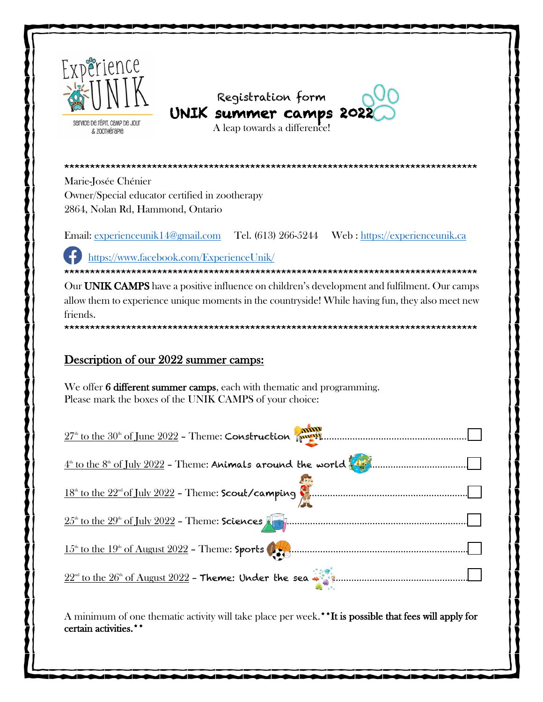





A leap towards a difference!

Marie-Josée Chénier Owner/Special educator certified in zootherapy 2864, Nolan Rd, Hammond, Ontario

Email: experienceunik14@gmail.com Tel. (613) 266-5244 Web: https://experienceunik.ca

https://www.facebook.com/ExperienceUnik/

Our UNIK CAMPS have a positive influence on children's development and fulfilment. Our camps allow them to experience unique moments in the countryside! While having fun, they also meet new friends.

# Description of our 2022 summer camps:

We offer 6 different summer camps, each with thematic and programming. Please mark the boxes of the UNIK CAMPS of your choice:

| $27th$ to the $30th$ of June $2022$ - Theme: Construction $\sqrt{m}$                           |
|------------------------------------------------------------------------------------------------|
|                                                                                                |
|                                                                                                |
|                                                                                                |
|                                                                                                |
| $22^{\text{nd}}$ to the $26^{\text{nd}}$ of August $2022$ - Theme: Under the sea $\frac{1}{2}$ |

A minimum of one thematic activity will take place per week.\*\*It is possible that fees will apply for certain activities.\*\*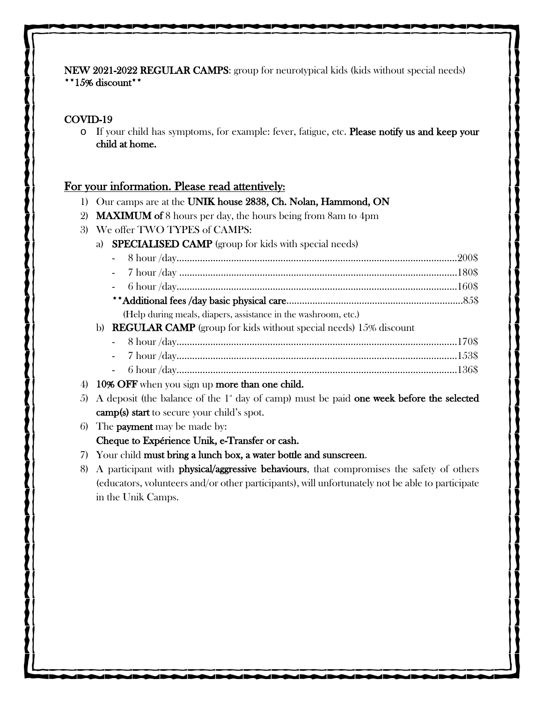NEW 2021-2022 REGULAR CAMPS: group for neurotypical kids (kids without special needs) \*\*15% discount\*\*

## COVID-19

o If your child has symptoms, for example: fever, fatigue, etc. Please notify us and keep your child at home.

## For your information. Please read attentively:

- 1) Our camps are at the UNIK house 2838, Ch. Nolan, Hammond, ON
- 2) MAXIMUM of 8 hours per day, the hours being from 8am to 4pm
- 3) We offer TWO TYPES of CAMPS:
	- a) SPECIALISED CAMP (group for kids with special needs)
		- 8 hour /day…………………………..………………………………………………………………….200\$ - 7 hour /day ………………………………………………………..……………………………………180\$ - 6 hour /day………………………………………………………………………………………………160\$ \*\*Additional fees /day basic physical care………..…...…………………………………………...85\$
			- (Help during meals, diapers, assistance in the washroom, etc.)
	- b) REGULAR CAMP (group for kids without special needs) 15% discount
		- 8 hour /day………………………………………………………………………………………………170\$ - 7 hour /day………………………………………………………………………………………………153\$
		- 6 hour /day………………………………………………………………………………………………136\$
- 4) 10% OFF when you sign up more than one child.
- 5) A deposit (the balance of the  $1^{\circ}$  day of camp) must be paid one week before the selected camp(s) start to secure your child's spot.
- 6) The payment may be made by: Cheque to Expérience Unik, e-Transfer or cash.
- 7) Your child must bring a lunch box, a water bottle and sunscreen.
- 8) A participant with physical/aggressive behaviours, that compromises the safety of others (educators, volunteers and/or other participants), will unfortunately not be able to participate in the Unik Camps.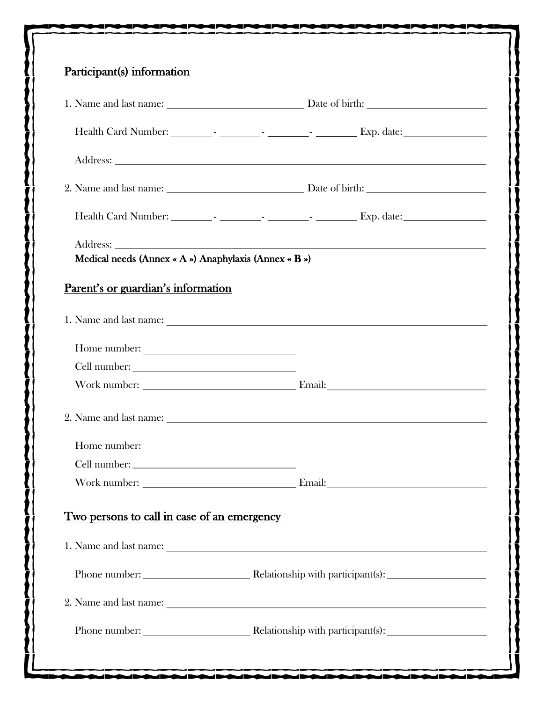| Participant(s) information                            |                                                                                                                                                                                                                               |
|-------------------------------------------------------|-------------------------------------------------------------------------------------------------------------------------------------------------------------------------------------------------------------------------------|
|                                                       |                                                                                                                                                                                                                               |
|                                                       |                                                                                                                                                                                                                               |
|                                                       |                                                                                                                                                                                                                               |
|                                                       |                                                                                                                                                                                                                               |
|                                                       |                                                                                                                                                                                                                               |
|                                                       |                                                                                                                                                                                                                               |
| Medical needs (Annex « A ») Anaphylaxis (Annex « B ») |                                                                                                                                                                                                                               |
| Parent's or guardian's information                    |                                                                                                                                                                                                                               |
|                                                       |                                                                                                                                                                                                                               |
| Home number:                                          |                                                                                                                                                                                                                               |
|                                                       |                                                                                                                                                                                                                               |
|                                                       |                                                                                                                                                                                                                               |
|                                                       | 2. Name and last name: Letters and the set of the set of the set of the set of the set of the set of the set of the set of the set of the set of the set of the set of the set of the set of the set of the set of the set of |
|                                                       |                                                                                                                                                                                                                               |
| Cell number:                                          |                                                                                                                                                                                                                               |
|                                                       |                                                                                                                                                                                                                               |
| <u>Two persons to call in case of an emergency</u>    |                                                                                                                                                                                                                               |
|                                                       | 1. Name and last name:                                                                                                                                                                                                        |
|                                                       |                                                                                                                                                                                                                               |
|                                                       |                                                                                                                                                                                                                               |
|                                                       | Phone number: <u>Nelationship</u> with participant(s):                                                                                                                                                                        |
|                                                       |                                                                                                                                                                                                                               |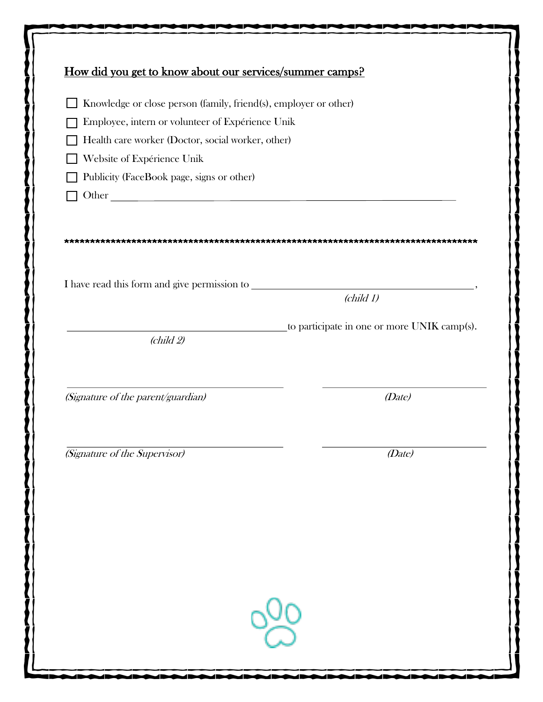| Knowledge or close person (family, friend(s), employer or other)    |                                             |
|---------------------------------------------------------------------|---------------------------------------------|
| Employee, intern or volunteer of Expérience Unik                    |                                             |
| Health care worker (Doctor, social worker, other)                   |                                             |
| Website of Expérience Unik                                          |                                             |
| Publicity (FaceBook page, signs or other)                           |                                             |
|                                                                     |                                             |
|                                                                     | $\left(\text{child } 1\right)$              |
|                                                                     | to participate in one or more UNIK camp(s). |
| $\left(\text{child } 2\right)$                                      |                                             |
|                                                                     | (Date)                                      |
|                                                                     |                                             |
| (Signature of the parent/guardian)<br>(Signature of the Supervisor) | (Date)                                      |
|                                                                     |                                             |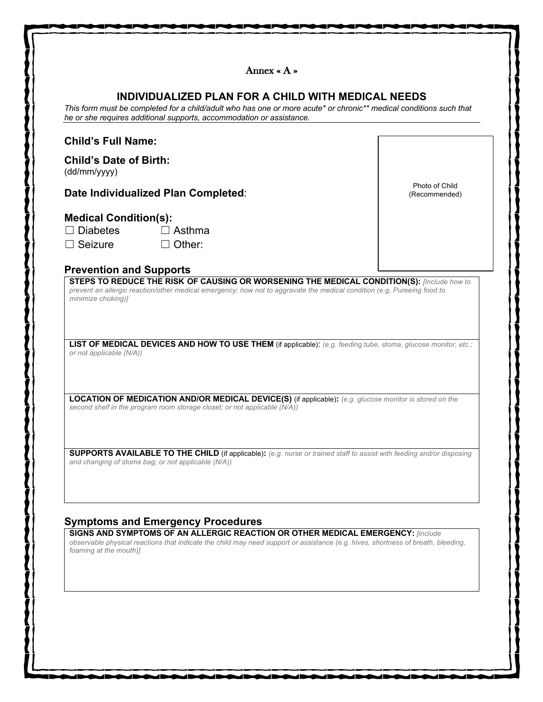|                                                                   | INDIVIDUALIZED PLAN FOR A CHILD WITH MEDICAL NEEDS<br>This form must be completed for a child/adult who has one or more acute* or chronic** medical conditions such that<br>he or she requires additional supports, accommodation or assistance.                                                              |                                 |
|-------------------------------------------------------------------|---------------------------------------------------------------------------------------------------------------------------------------------------------------------------------------------------------------------------------------------------------------------------------------------------------------|---------------------------------|
| <b>Child's Full Name:</b>                                         |                                                                                                                                                                                                                                                                                                               |                                 |
| <b>Child's Date of Birth:</b><br>(dd/mm/yyyy)                     |                                                                                                                                                                                                                                                                                                               |                                 |
|                                                                   | Date Individualized Plan Completed:                                                                                                                                                                                                                                                                           | Photo of Child<br>(Recommended) |
| <b>Medical Condition(s):</b><br>$\Box$ Diabetes<br>$\Box$ Seizure | $\Box$ Asthma<br>$\Box$ Other:                                                                                                                                                                                                                                                                                |                                 |
| <b>Prevention and Supports</b>                                    | <b>STEPS TO REDUCE THE RISK OF CAUSING OR WORSENING THE MEDICAL CONDITION(S):</b> [Include how to                                                                                                                                                                                                             |                                 |
| or not applicable (N/A))                                          | LIST OF MEDICAL DEVICES AND HOW TO USE THEM (if applicable): (e.g. feeding tube, stoma, glucose monitor, etc.;<br><b>LOCATION OF MEDICATION AND/OR MEDICAL DEVICE(S)</b> (if applicable): (e.g. glucose monitor is stored on the<br>second shelf in the program room storage closet; or not applicable (N/A)) |                                 |
|                                                                   |                                                                                                                                                                                                                                                                                                               |                                 |
|                                                                   | <b>SUPPORTS AVAILABLE TO THE CHILD</b> (if applicable): (e.g. nurse or trained staff to assist with feeding and/or disposing<br>and changing of stoma bag; or not applicable (N/A))                                                                                                                           |                                 |
|                                                                   | <b>Symptoms and Emergency Procedures</b><br><b>SIGNS AND SYMPTOMS OF AN ALLERGIC REACTION OR OTHER MEDICAL EMERGENCY: [include</b><br>observable physical reactions that indicate the child may need support or assistance (e.g. hives, shortness of breath, bleeding,                                        |                                 |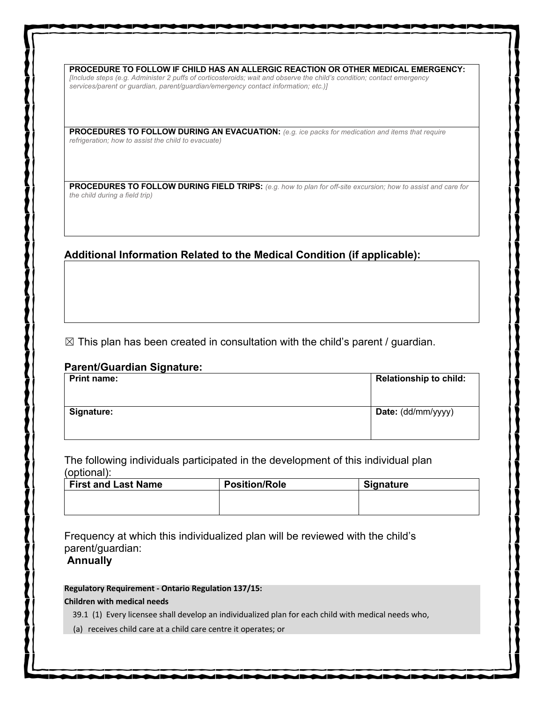**PROCEDURE TO FOLLOW IF CHILD HAS AN ALLERGIC REACTION OR OTHER MEDICAL EMERGENCY:** *[Include steps (e.g. Administer 2 puffs of corticosteroids; wait and observe the child's condition; contact emergency services/parent or guardian, parent/guardian/emergency contact information; etc.)]*

**PROCEDURES TO FOLLOW DURING AN EVACUATION:** *(e.g. ice packs for medication and items that require refrigeration; how to assist the child to evacuate)*

**PROCEDURES TO FOLLOW DURING FIELD TRIPS:** *(e.g. how to plan for off-site excursion; how to assist and care for the child during a field trip)*

## **Additional Information Related to the Medical Condition (if applicable):**

 $\boxtimes$  This plan has been created in consultation with the child's parent / guardian.

### **Parent/Guardian Signature:**

| <b>Print name:</b> | <b>Relationship to child:</b> |
|--------------------|-------------------------------|
| Signature:         | Date: (dd/mm/yyyy)            |
|                    |                               |

The following individuals participated in the development of this individual plan (optional):

| <b>First and Last Name</b> | <b>Position/Role</b> | <b>Signature</b> |
|----------------------------|----------------------|------------------|
|                            |                      |                  |
|                            |                      |                  |

Frequency at which this individualized plan will be reviewed with the child's parent/guardian:

**Annually**

### **Regulatory Requirement - Ontario Regulation 137/15:**

### **Children with medical needs**

39.1 (1) Every licensee shall develop an individualized plan for each child with medical needs who,

(a) receives child care at a child care centre it operates; or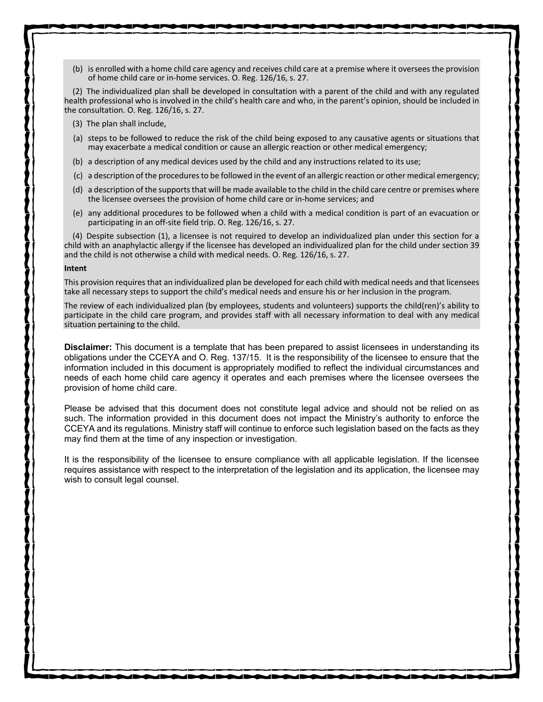(b) is enrolled with a home child care agency and receives child care at a premise where it oversees the provision of home child care or in-home services. O. Reg. 126/16, s. 27.

(2) The individualized plan shall be developed in consultation with a parent of the child and with any regulated health professional who is involved in the child's health care and who, in the parent's opinion, should be included in the consultation. O. Reg. 126/16, s. 27.

- (3) The plan shall include,
- (a) steps to be followed to reduce the risk of the child being exposed to any causative agents or situations that may exacerbate a medical condition or cause an allergic reaction or other medical emergency;
- (b) a description of any medical devices used by the child and any instructions related to its use;
- (c) a description of the procedures to be followed in the event of an allergic reaction or other medical emergency;
- (d) a description of the supports that will be made available to the child in the child care centre or premises where the licensee oversees the provision of home child care or in-home services; and
- (e) any additional procedures to be followed when a child with a medical condition is part of an evacuation or participating in an off-site field trip. O. Reg. 126/16, s. 27.

(4) Despite subsection (1), a licensee is not required to develop an individualized plan under this section for a child with an anaphylactic allergy if the licensee has developed an individualized plan for the child under section 39 and the child is not otherwise a child with medical needs. O. Reg. 126/16, s. 27.

#### **Intent**

This provision requires that an individualized plan be developed for each child with medical needs and that licensees take all necessary steps to support the child's medical needs and ensure his or her inclusion in the program.

The review of each individualized plan (by employees, students and volunteers) supports the child(ren)'s ability to participate in the child care program, and provides staff with all necessary information to deal with any medical situation pertaining to the child.

**Disclaimer:** This document is a template that has been prepared to assist licensees in understanding its obligations under the CCEYA and O. Reg. 137/15. It is the responsibility of the licensee to ensure that the information included in this document is appropriately modified to reflect the individual circumstances and needs of each home child care agency it operates and each premises where the licensee oversees the provision of home child care.

Please be advised that this document does not constitute legal advice and should not be relied on as such. The information provided in this document does not impact the Ministry's authority to enforce the CCEYA and its regulations. Ministry staff will continue to enforce such legislation based on the facts as they may find them at the time of any inspection or investigation.

It is the responsibility of the licensee to ensure compliance with all applicable legislation. If the licensee requires assistance with respect to the interpretation of the legislation and its application, the licensee may wish to consult legal counsel.